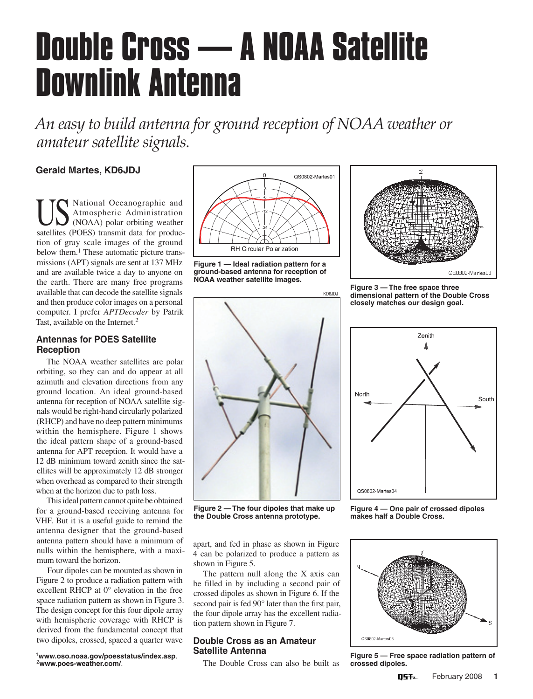# **Double Cross — A NOAA Satellite Downlink Antenna**

*An easy to build antenna for ground reception of NOAA weather or amateur satellite signals.*

## **Gerald Martes, KD6JDJ**

US National Oceanographic and<br>
MAMOS (NOAA) polar orbiting weather Atmospheric Administration (NOAA) polar orbiting weather satellites (POES) transmit data for production of gray scale images of the ground below them.<sup>1</sup> These automatic picture transmissions (APT) signals are sent at 137 MHz and are available twice a day to anyone on the earth. There are many free programs available that can decode the satellite signals and then produce color images on a personal computer. I prefer *APTDecoder* by Patrik Tast, available on the Internet.<sup>2</sup>

## **Antennas for POES Satellite Reception**

The NOAA weather satellites are polar orbiting, so they can and do appear at all azimuth and elevation directions from any ground location. An ideal ground-based antenna for reception of NOAA satellite signals would be right-hand circularly polarized (RHCP) and have no deep pattern minimums within the hemisphere. Figure 1 shows the ideal pattern shape of a ground-based antenna for APT reception. It would have a 12 dB minimum toward zenith since the satellites will be approximately 12 dB stronger when overhead as compared to their strength when at the horizon due to path loss.

This ideal pattern cannot quite be obtained for a ground-based receiving antenna for VHF. But it is a useful guide to remind the antenna designer that the ground-based antenna pattern should have a minimum of nulls within the hemisphere, with a maximum toward the horizon.

Four dipoles can be mounted as shown in Figure 2 to produce a radiation pattern with excellent RHCP at 0° elevation in the free space radiation pattern as shown in Figure 3. The design concept for this four dipole array with hemispheric coverage with RHCP is derived from the fundamental concept that two dipoles, crossed, spaced a quarter wave

<sup>1</sup>**www.oso.noaa.gov/poesstatus/index.asp**. <sup>2</sup>**www.poes-weather.com/**.







**Figure 3 — The free space three dimensional pattern of the Double Cross closely matches our design goal.**



**Figure 2 — The four dipoles that make up the Double Cross antenna prototype.**

apart, and fed in phase as shown in Figure 4 can be polarized to produce a pattern as shown in Figure 5.

The pattern null along the X axis can be filled in by including a second pair of crossed dipoles as shown in Figure 6. If the second pair is fed 90° later than the first pair, the four dipole array has the excellent radiation pattern shown in Figure 7.

### **Double Cross as an Amateur Satellite Antenna**

The Double Cross can also be built as



**Figure 4 — One pair of crossed dipoles makes half a Double Cross.**



**Figure 5 — Free space radiation pattern of crossed dipoles.**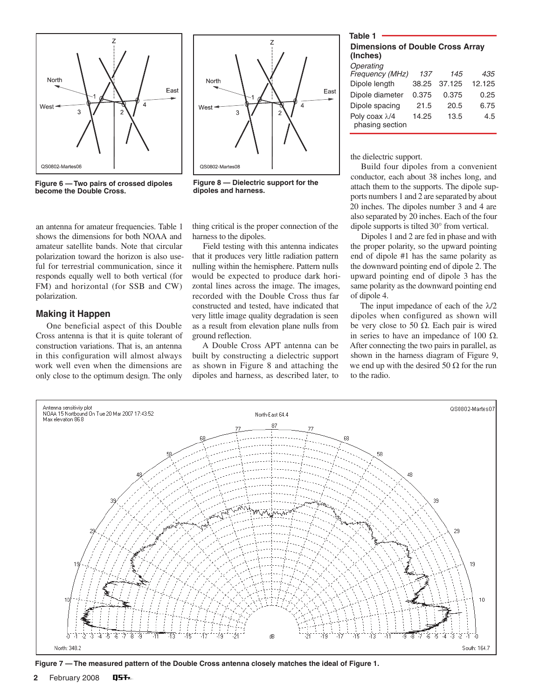



an antenna for amateur frequencies. Table 1 shows the dimensions for both NOAA and amateur satellite bands. Note that circular polarization toward the horizon is also useful for terrestrial communication, since it responds equally well to both vertical (for FM) and horizontal (for SSB and CW) polarization.

#### **Making it Happen**

One beneficial aspect of this Double Cross antenna is that it is quite tolerant of construction variations. That is, an antenna in this configuration will almost always work well even when the dimensions are only close to the optimum design. The only



**Figure 8 — Dielectric support for the dipoles and harness.**

thing critical is the proper connection of the harness to the dipoles.

Field testing with this antenna indicates that it produces very little radiation pattern nulling within the hemisphere. Pattern nulls would be expected to produce dark horizontal lines across the image. The images, recorded with the Double Cross thus far constructed and tested, have indicated that very little image quality degradation is seen as a result from elevation plane nulls from ground reflection.

A Double Cross APT antenna can be built by constructing a dielectric support as shown in Figure 8 and attaching the dipoles and harness, as described later, to

## **Table 1 Dimensions of Double Cross Array (Inches)** *Operating Frequency (MHz) 137 145 435*

| <b>Frequency (MHZ)</b>           | 137   | 145    | 435    |
|----------------------------------|-------|--------|--------|
| Dipole length                    | 38.25 | 37.125 | 12.125 |
| Dipole diameter                  | 0.375 | 0.375  | 0.25   |
| Dipole spacing                   | 21.5  | 20.5   | 6.75   |
| Poly coax λ/4<br>phasing section | 14.25 | 13.5   | 4.5    |

the dielectric support.

Build four dipoles from a convenient conductor, each about 38 inches long, and attach them to the supports. The dipole supports numbers 1 and 2 are separated by about 20 inches. The dipoles number 3 and 4 are also separated by 20 inches. Each of the four dipole supports is tilted 30° from vertical.

Dipoles 1 and 2 are fed in phase and with the proper polarity, so the upward pointing end of dipole #1 has the same polarity as the downward pointing end of dipole 2. The upward pointing end of dipole 3 has the same polarity as the downward pointing end of dipole 4.

The input impedance of each of the  $\lambda/2$ dipoles when configured as shown will be very close to 50  $Ω$ . Each pair is wired in series to have an impedance of 100  $Ω$ . After connecting the two pairs in parallel, as shown in the harness diagram of Figure 9, we end up with the desired 50  $\Omega$  for the run to the radio.



**Figure 7 — The measured pattern of the Double Cross antenna closely matches the ideal of Figure 1.**